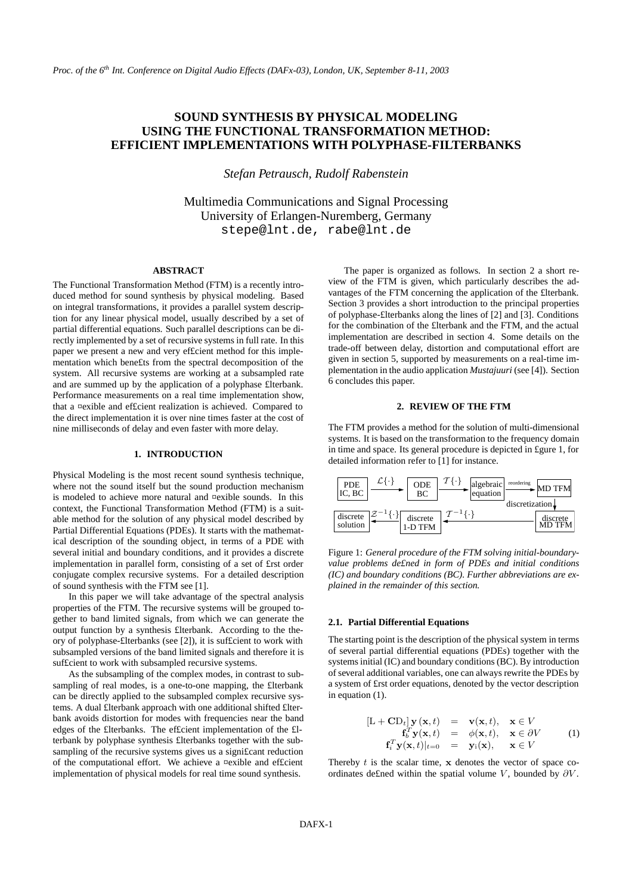# **SOUND SYNTHESIS BY PHYSICAL MODELING USING THE FUNCTIONAL TRANSFORMATION METHOD: EFFICIENT IMPLEMENTATIONS WITH POLYPHASE-FILTERBANKS**

*Stefan Petrausch, Rudolf Rabenstein*

Multimedia Communications and Signal Processing University of Erlangen-Nuremberg, Germany stepe@lnt.de, rabe@lnt.de

#### **ABSTRACT**

The Functional Transformation Method (FTM) is a recently introduced method for sound synthesis by physical modeling. Based on integral transformations, it provides a parallel system description for any linear physical model, usually described by a set of partial differential equations. Such parallel descriptions can be directly implemented by a set of recursive systems in full rate. In this paper we present a new and very efficient method for this implementation which bene£ts from the spectral decomposition of the system. All recursive systems are working at a subsampled rate and are summed up by the application of a polyphase £lterbank. Performance measurements on a real time implementation show, that a ¤exible and ef£cient realization is achieved. Compared to the direct implementation it is over nine times faster at the cost of nine milliseconds of delay and even faster with more delay.

## **1. INTRODUCTION**

Physical Modeling is the most recent sound synthesis technique, where not the sound itself but the sound production mechanism is modeled to achieve more natural and ¤exible sounds. In this context, the Functional Transformation Method (FTM) is a suitable method for the solution of any physical model described by Partial Differential Equations (PDEs). It starts with the mathematical description of the sounding object, in terms of a PDE with several initial and boundary conditions, and it provides a discrete implementation in parallel form, consisting of a set of £rst order conjugate complex recursive systems. For a detailed description of sound synthesis with the FTM see [1].

In this paper we will take advantage of the spectral analysis properties of the FTM. The recursive systems will be grouped together to band limited signals, from which we can generate the output function by a synthesis £lterbank. According to the theory of polyphase-£lterbanks (see [2]), it is suf£cient to work with subsampled versions of the band limited signals and therefore it is suf£cient to work with subsampled recursive systems.

As the subsampling of the complex modes, in contrast to subsampling of real modes, is a one-to-one mapping, the £lterbank can be directly applied to the subsampled complex recursive systems. A dual £lterbank approach with one additional shifted £lterbank avoids distortion for modes with frequencies near the band edges of the £lterbanks. The ef£cient implementation of the £lterbank by polyphase synthesis £lterbanks together with the subsampling of the recursive systems gives us a significant reduction of the computational effort. We achieve a ¤exible and ef£cient implementation of physical models for real time sound synthesis.

The paper is organized as follows. In section 2 a short review of the FTM is given, which particularly describes the advantages of the FTM concerning the application of the £lterbank. Section 3 provides a short introduction to the principal properties of polyphase-£lterbanks along the lines of [2] and [3]. Conditions for the combination of the £lterbank and the FTM, and the actual implementation are described in section 4. Some details on the <sup>nt</sup>rade-off between delay, distortion and computational effort are given in section 5, supported by measurements on a real-time implementation in the audio application *Mustajuuri* (see [4]). Section 6 concludes this paper.

# **2. REVIEW OF THE FTM**

The FTM provides a method for the solution of multi-dimensional systems. It is based on the transformation to the frequency domain in time and space. Its general procedure is depicted in £gure 1, for detailed information refer to [1] for instance.



Figure 1: *General procedure of the FTM solving initial-boundaryvalue problems de£ned in form of PDEs and initial conditions (IC) and boundary conditions (BC). Further abbreviations are explained in the remainder of this section.*

## **2.1. Partial Differential Equations**

The starting point is the description of the physical system in terms of several partial differential equations (PDEs) together with the systems initial (IC) and boundary conditions (BC). By introduction of several additional variables, one can always rewrite the PDEs by a system of £rst order equations, denoted by the vector description in equation (1).

$$
[\mathbf{L} + \mathbf{C} \mathbf{D}_t] \mathbf{y} (\mathbf{x}, t) = \mathbf{v}(\mathbf{x}, t), \quad \mathbf{x} \in V \n\mathbf{f}_b^T \mathbf{y}(\mathbf{x}, t) = \phi(\mathbf{x}, t), \quad \mathbf{x} \in \partial V \n\mathbf{f}_i^T \mathbf{y}(\mathbf{x}, t)|_{t=0} = \mathbf{y}_i(\mathbf{x}), \quad \mathbf{x} \in V
$$
\n(1)

Thereby  $t$  is the scalar time,  $x$  denotes the vector of space coordinates de£ned within the spatial volume V, bounded by  $\partial V$ .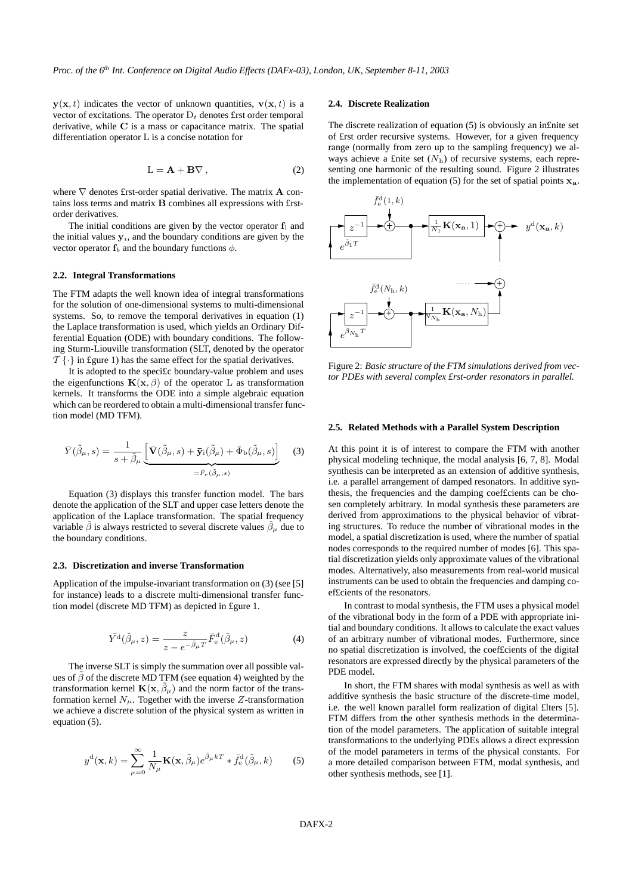$y(x, t)$  indicates the vector of unknown quantities,  $v(x, t)$  is a vector of excitations. The operator  $D_t$  denotes £rst order temporal derivative, while C is a mass or capacitance matrix. The spatial differentiation operator L is a concise notation for

$$
L = A + B\nabla , \qquad (2)
$$

where  $\nabla$  denotes £rst-order spatial derivative. The matrix **A** contains loss terms and matrix B combines all expressions with £rstorder derivatives.

The initial conditions are given by the vector operator  $f_i$  and The initial conditions are given by the vector operator  $f_i$  and  $\sum_{z} z$  the initial values  $y_i$ , and the boundary conditions are given replacements vector operator  $f_b$  and the boundary functions  $\phi$ .

#### **2.2. Integral Transformations**

The FTM adapts the well known idea of integral transformations for the solution of one-dimensional systems to multi-dimensional systems. So, to remove the temporal derivatives in equation (1) the Laplace transformation is used, which yields an Ordinary Differential Equation (ODE) with boundary conditions. The following Sturm-Liouville transformation (SLT, denoted by the operator  $\mathcal{T} \{\cdot\}$  in £gure 1) has the same effect for the spatial derivatives.

It is adopted to the speci£c boundary-value problem and uses the eigenfunctions  $\mathbf{K}(\mathbf{x}, \beta)$  of the operator L as transformation kernels. It transforms the ODE into a simple algebraic equation which can be reordered to obtain a multi-dimensional transfer function model (MD TFM).

$$
\bar{Y}(\tilde{\beta}_{\mu},s) = \frac{1}{s + \tilde{\beta}_{\mu}} \underbrace{\left[\bar{\mathbf{V}}(\tilde{\beta}_{\mu},s) + \bar{\mathbf{y}}_{i}(\tilde{\beta}_{\mu}) + \bar{\Phi}_{b}(\tilde{\beta}_{\mu},s)\right]}_{= \bar{F}_{e}(\tilde{\beta}_{\mu},s)}
$$
(3)

Equation (3) displays this transfer function model. The bars denote the application of the SLT and upper case letters denote the application of the Laplace transformation. The spatial frequency variable  $\tilde{\beta}$  is always restricted to several discrete values  $\tilde{\beta}_{\mu}$  due to the boundary conditions.

#### **2.3. Discretization and inverse Transformation**

Application of the impulse-invariant transformation on (3) (see [5] for instance) leads to a discrete multi-dimensional transfer function model (discrete MD TFM) as depicted in £gure 1.

$$
\bar{Y}^{\mathbf{d}}(\tilde{\beta}_{\mu},z) = \frac{z}{z - e^{-\tilde{\beta}_{\mu}T}} \bar{F}_{\mathbf{e}}^{\mathbf{d}}(\tilde{\beta}_{\mu},z)
$$
(4)

The inverse SLT is simply the summation over all possible values of  $\tilde{\beta}$  of the discrete MD TFM (see equation 4) weighted by the transformation kernel  $\mathbf{K}(\mathbf{x}, \beta_\mu)$  and the norm factor of the transformation kernel  $N_{\mu}$ . Together with the inverse Z-transformation we achieve a discrete solution of the physical system as written in equation (5).

$$
y^{\mathrm{d}}(\mathbf{x},k) = \sum_{\mu=0}^{\infty} \frac{1}{N_{\mu}} \mathbf{K}(\mathbf{x},\tilde{\beta}_{\mu}) e^{\tilde{\beta}_{\mu}kT} * \bar{f}_{e}^{\mathrm{d}}(\tilde{\beta}_{\mu},k)
$$
(5)

#### **2.4. Discrete Realization**

The discrete realization of equation (5) is obviously an in£nite set of £rst order recursive systems. However, for a given frequency range (normally from zero up to the sampling frequency) we always achieve a £nite set ( $N<sub>h</sub>$ ) of recursive systems, each representing one harmonic of the resulting sound. Figure 2 illustrates the implementation of equation (5) for the set of spatial points  $x_a$ .



Figure 2: *Basic structure of the FTM simulations derived from vector PDEs with several complex £rst-order resonators in parallel.*

#### **2.5. Related Methods with a Parallel System Description**

At this point it is of interest to compare the FTM with another physical modeling technique, the modal analysis [6, 7, 8]. Modal synthesis can be interpreted as an extension of additive synthesis, i.e. a parallel arrangement of damped resonators. In additive synthesis, the frequencies and the damping coef£cients can be chosen completely arbitrary. In modal synthesis these parameters are derived from approximations to the physical behavior of vibrating structures. To reduce the number of vibrational modes in the model, a spatial discretization is used, where the number of spatial nodes corresponds to the required number of modes [6]. This spatial discretization yields only approximate values of the vibrational modes. Alternatively, also measurements from real-world musical instruments can be used to obtain the frequencies and damping coef£cients of the resonators.

In contrast to modal synthesis, the FTM uses a physical model of the vibrational body in the form of a PDE with appropriate initial and boundary conditions. It allows to calculate the exact values of an arbitrary number of vibrational modes. Furthermore, since no spatial discretization is involved, the coef£cients of the digital resonators are expressed directly by the physical parameters of the PDE model.

In short, the FTM shares with modal synthesis as well as with additive synthesis the basic structure of the discrete-time model, i.e. the well known parallel form realization of digital £lters [5]. FTM differs from the other synthesis methods in the determination of the model parameters. The application of suitable integral transformations to the underlying PDEs allows a direct expression of the model parameters in terms of the physical constants. For a more detailed comparison between FTM, modal synthesis, and other synthesis methods, see [1].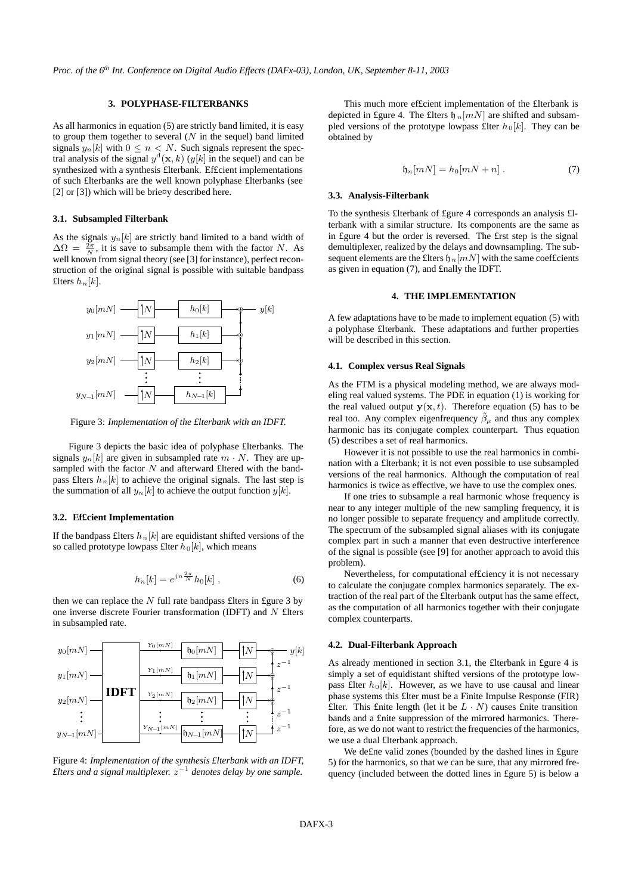# **3. POLYPHASE-FILTERBANKS**

As all harmonics in equation (5) are strictly band limited, it is easy to group them together to several  $(N$  in the sequel) band limited signals  $y_n[k]$  with  $0 \leq n < N$ . Such signals represent the spectral analysis of the signal  $y^d(x, k)$  ( $y[k]$  in the sequel) and can be synthesized with a synthesis £lterbank. Ef£cient implementations of such £lterbanks are the well known polyphase £lterbanks (see [2] or [3]) which will be brie $\alpha$ y described here.

### **3.1. Subsampled Filterbank**

As the signals  $y_n[k]$  are strictly band limited to a band width of  $\Delta\Omega = \frac{2\pi}{N}$ , it is save to subsample them with the factor N. As well known from signal theory (see [3] for instance), perfect reconstruction of the original signal is possible with suitable bandpass  $\text{PSfrag}\underset{\text{replace}}{h}$  hents



Figure 3: *Implementation of the £lterbank with an IDFT.*

Figure 3 depicts the basic idea of polyphase £lterbanks. The signals  $y_n[k]$  are given in subsampled rate  $m \cdot N$ . They are upsampled with the factor  $N$  and afterward £ltered with the bandpass £lters  $h_n[k]$  to achieve the original signals. The last step is the summation of all  $y_n[k]$  to achieve the output function  $y[k]$ .

#### **3.2. Ef£cient Implementation**

If the bandpass £lters  $h_n[k]$  are equidistant shifted versions of the so called prototype lowpass £lter  $h_0[k]$ , which means PSfrag replacements

$$
h_n[k] = e^{jn\frac{2\pi}{N}}h_0[k] \t{, \t(6)}
$$

then we can replace the  $N$  full rate bandpass £lters in £gure 3 by one inverse discrete Fourier transformation (IDFT) and  $N$  £lters in subsampled rate.



Figure 4: *Implementation of the synthesis £lterbank with an IDFT, £lters and a signal multiplexer.* z −1 *denotes delay by one sample.*

This much more ef£cient implementation of the £lterbank is depicted in £gure 4. The £lters  $\mathfrak{h}_n[mN]$  are shifted and subsampled versions of the prototype lowpass £lter  $h_0[k]$ . They can be obtained by

$$
\mathfrak{h}_n[mN] = h_0[mN + n] \ . \tag{7}
$$

#### **3.3. Analysis-Filterbank**

To the synthesis £lterbank of £gure 4 corresponds an analysis £lterbank with a similar structure. Its components are the same as in £gure 4 but the order is reversed. The £rst step is the signal demultiplexer, realized by the delays and downsampling. The subsequent elements are the £lters  $\mathfrak{h}_n[mN]$  with the same coef£cients as given in equation (7), and £nally the IDFT.

# **4. THE IMPLEMENTATION**

A few adaptations have to be made to implement equation (5) with a polyphase £lterbank. These adaptations and further properties will be described in this section.

## **4.1. Complex versus Real Signals**

As the FTM is a physical modeling method, we are always modeling real valued systems. The PDE in equation (1) is working for the real valued output  $y(x, t)$ . Therefore equation (5) has to be real too. Any complex eigenfrequency  $\beta_{\mu}$  and thus any complex harmonic has its conjugate complex counterpart. Thus equation (5) describes a set of real harmonics.

However it is not possible to use the real harmonics in combination with a £lterbank; it is not even possible to use subsampled versions of the real harmonics. Although the computation of real harmonics is twice as effective, we have to use the complex ones.

If one tries to subsample a real harmonic whose frequency is near to any integer multiple of the new sampling frequency, it is no longer possible to separate frequency and amplitude correctly. The spectrum of the subsampled signal aliases with its conjugate complex part in such a manner that even destructive interference of the signal is possible (see [9] for another approach to avoid this problem).

Nevertheless, for computational ef£ciency it is not necessary to calculate the conjugate complex harmonics separately. The extraction of the real part of the £lterbank output has the same effect, as the computation of all harmonics together with their conjugate complex counterparts.

## **4.2. Dual-Filterbank Approach**

As already mentioned in section 3.1, the £lterbank in £gure 4 is simply a set of equidistant shifted versions of the prototype lowpass £lter  $h_0[k]$ . However, as we have to use causal and linear phase systems this £lter must be a Finite Impulse Response (FIR) £lter. This £nite length (let it be  $L \cdot N$ ) causes £nite transition bands and a £nite suppression of the mirrored harmonics. Therefore, as we do not want to restrict the frequencies of the harmonics, we use a dual £lterbank approach.

We de£ne valid zones (bounded by the dashed lines in £gure 5) for the harmonics, so that we can be sure, that any mirrored frequency (included between the dotted lines in £gure 5) is below a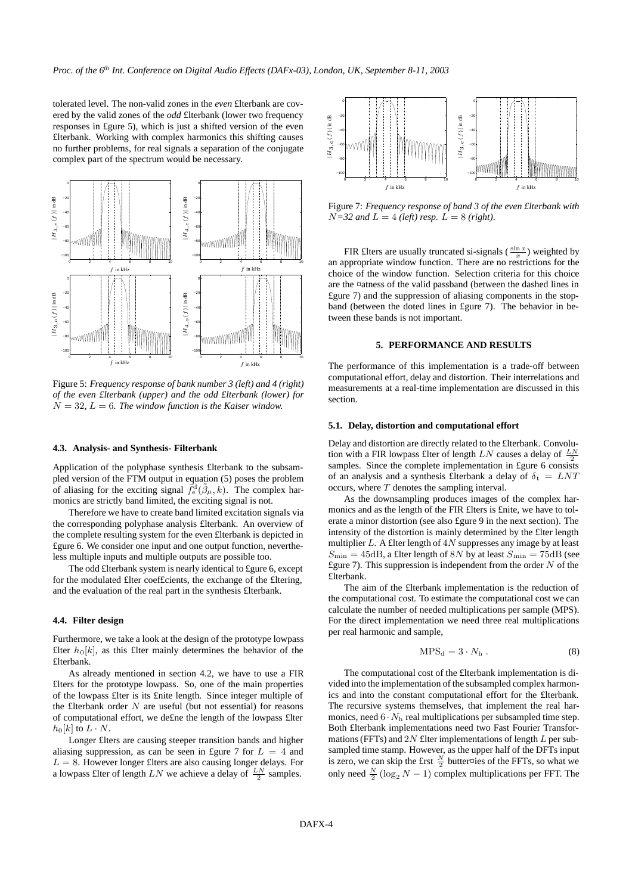tolerated level. The non-valid zones in the *even* £lterbank are covered by the valid zones of the *odd* £lterbank (lower two frequency responses in £gure 5), which is just a shifted version of the even £lterbank. Working with complex harmonics this shifting causes no further problems, for real signals a separation of the conjugate complex part of the spectrum would be necessary. PSfrag replacements



Figure 5: *Frequency response of bank number 3 (left) and 4 (right) of the even £lterbank (upper) and the odd £lterbank (lower) for*  $N = 32, L = 6$ . The window function is the Kaiser window.

# **4.3. Analysis- and Synthesis- Filterbank**

Application of the polyphase synthesis £lterbank to the subsampled version of the FTM output in equation (5) poses the problem of aliasing for the exciting signal  $\vec{f}_{e}^{\text{d}}(\tilde{\beta}_{\mu},k)$ . The complex harmonics are strictly band limited, the exciting signal is not.

Therefore we have to create band limited excitation signals via the corresponding polyphase analysis £lterbank. An overview of the complete resulting system for the even £lterbank is depicted in £gure 6. We consider one input and one output function, nevertheless multiple inputs and multiple outputs are possible too.

The odd £lterbank system is nearly identical to £gure 6, except for the modulated £lter coef£cients, the exchange of the £ltering, and the evaluation of the real part in the synthesis £lterbank.

# **4.4. Filter design**

Furthermore, we take a look at the design of the prototype lowpass £lter  $h_0[k]$ , as this £lter mainly determines the behavior of the £lterbank.

As already mentioned in section 4.2, we have to use a FIR £lters for the prototype lowpass. So, one of the main properties of the lowpass £lter is its £nite length. Since integer multiple of the £lterbank order  $N$  are useful (but not essential) for reasons of computational effort, we de£ne the length of the lowpass £lter  $h_0[k]$  to  $L \cdot N$ .

Longer £lters are causing steeper transition bands and higher aliasing suppression, as can be seen in £gure 7 for  $L = 4$  and  $L = 8$ . However longer £lters are also causing longer delays. For a lowpass £lter of length  $LN$  we achieve a delay of  $\frac{LN}{2}$  samples.



Figure 7: *Frequency response of band 3 of the even £lterbank with*  $N=32$  *and*  $L=4$  *(left) resp.*  $L=8$  *(right).* 

FIR £lters are usually truncated si-signals ( $\frac{\sin x}{x}$ ) weighted by an appropriate window function. There are no restrictions for the choice of the window function. Selection criteria for this choice are the ¤atness of the valid passband (between the dashed lines in £gure 7) and the suppression of aliasing components in the stopband (between the doted lines in £gure 7). The behavior in between these bands is not important.

# **5. PERFORMANCE AND RESULTS**

The performance of this implementation is a trade-off between computational effort, delay and distortion. Their interrelations and measurements at a real-time implementation are discussed in this section.

#### **5.1. Delay, distortion and computational effort**

Delay and distortion are directly related to the £lterbank. Convolution with a FIR lowpass £lter of length  $LN$  causes a delay of  $\frac{LN}{2}$ samples. Since the complete implementation in £gure 6 consists of an analysis and a synthesis £lterbank a delay of  $\delta_t = LNT$ occurs, where  $T$  denotes the sampling interval.

As the downsampling produces images of the complex harmonics and as the length of the FIR £lters is £nite, we have to tolerate a minor distortion (see also £gure 9 in the next section). The intensity of the distortion is mainly determined by the £lter length multiplier  $L$ . A £lter length of  $4N$  suppresses any image by at least  $S_{\text{min}} = 45 \text{dB}$ , a £lter length of 8N by at least  $S_{\text{min}} = 75 \text{dB}$  (see £gure 7). This suppression is independent from the order  $N$  of the £lterbank.

The aim of the £lterbank implementation is the reduction of the computational cost. To estimate the computational cost we can calculate the number of needed multiplications per sample (MPS). For the direct implementation we need three real multiplications per real harmonic and sample,

$$
MPS_d = 3 \cdot N_h . \tag{8}
$$

The computational cost of the £lterbank implementation is divided into the implementation of the subsampled complex harmonics and into the constant computational effort for the £lterbank. The recursive systems themselves, that implement the real harmonics, need  $6 \cdot N_h$  real multiplications per subsampled time step. Both £lterbank implementations need two Fast Fourier Transformations (FFTs) and 2N £lter implementations of length L per subsampled time stamp. However, as the upper half of the DFTs input is zero, we can skip the £rst  $\frac{N}{2}$  butter¤ies of the FFTs, so what we only need  $\frac{N}{2} (\log_2 N - 1)$  complex multiplications per FFT. The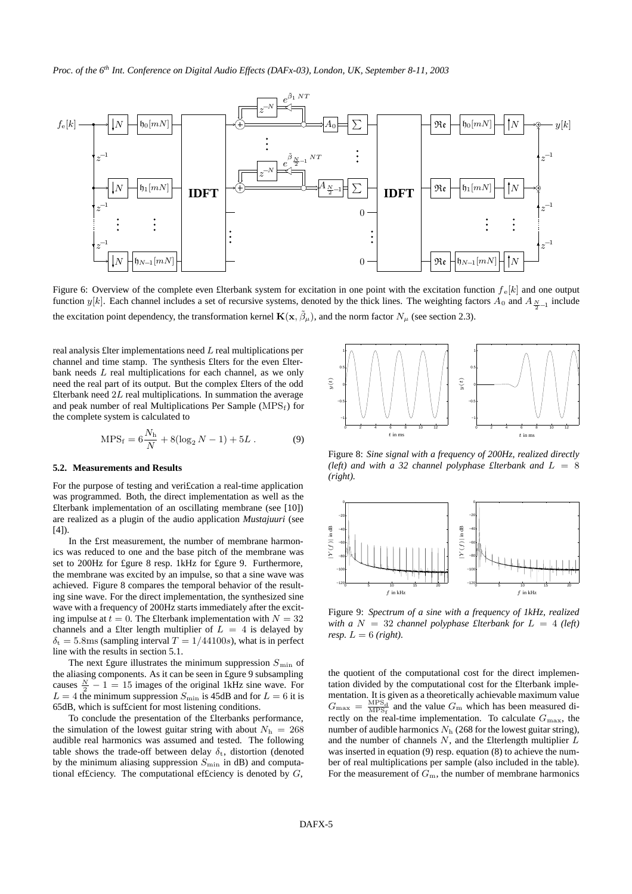

Figure 6: Overview of the complete even £1terbank system for excitation in one point with the excitation function  $f_e[k]$  and one output function  $y[k]$ . Each channel includes a set of recursive systems, denoted by the thick lines. The weighting factors  $A_0$  and  $A_{\frac{N}{2}-1}$  include the excitation point dependency, the transformation kernel  $\mathbf{K}(\mathbf{x}, \tilde{\beta}_{\mu})$ , and the norm factor  $N_{\mu}$  (see section 2.3).

real analysis £lter implementations need L real multiplications per channel and time stamp. The synthesis £lters for the even £lterbank needs L real multiplications for each channel, as we only need the real part of its output. But the complex £lters of the odd £lterbank need  $2L$  real multiplications. In summation the average and peak number of real Multiplications Per SampleSthaly Feeplacements the complete system is calculated to

$$
MPS_f = 6\frac{N_h}{N} + 8(\log_2 N - 1) + 5L.
$$
 (9)

#### **5.2. Measurements and Results**

For the purpose of testing and veri£cation a real-time application was programmed. Both, the direct implementation as well as the £lterbank implementation of an oscillating membrane (see [10]) are realized as a plugin of the audio application *Mustajuuri* (see  $[4]$ ).

In the £rst measurement, the number of membrane harmonics was reduced to one and the base pitch of the membrane was set to 200Hz for £gure 8 resp. 1kHz for £gure 9. PStrthermore, ements the membrane was excited by an impulse, so that a sine wave was achieved. Figure 8 compares the temporal behavior of the resulting sine wave. For the direct implementation, the synthesized sine wave with a frequency of 200Hz starts immediately after the exciting impulse at  $t = 0$ . The £lterbank implementation with  $N = 32$ channels and a £lter length multiplier of  $L = 4$  is delayed by  $\delta_t = 5.8$ ms (sampling interval  $T = 1/44100s$ ), what is in perfect line with the results in section 5.1.

The next £gure illustrates the minimum suppression  $S_{\text{min}}$  of the aliasing components. As it can be seen in £gure 9 subsampling causes  $\frac{N}{2} - 1 = 15$  images of the original 1kHz sine wave. For  $L = 4$  the minimum suppression  $S_{\text{min}}$  is 45dB and for  $L = 6$  it is 65dB, which is suf£cient for most listening conditions.

To conclude the presentation of the £lterbanks performance, the simulation of the lowest guitar string with about  $N<sub>h</sub> = 268$ audible real harmonics was assumed and tested. The following table shows the trade-off between delay  $\delta_t$ , distortion (denoted by the minimum aliasing suppression  $S_{\text{min}}$  in dB) and computational efficiency. The computational efficiency is denoted by  $G$ ,



Figure 8: *Sine signal with a frequency of 200Hz, realized directly (left)* and with a 32 channel polyphase *£lterbank* and  $L = 8$ *(right).*



Figure 9: *Spectrum of a sine with a frequency of 1kHz, realized with*  $a N = 32$  *channel polyphase £lterbank for*  $L = 4$  *(left) resp.*  $L = 6$  *(right).* 

the quotient of the computational cost for the direct implementation divided by the computational cost for the £lterbank implementation. It is given as a theoretically achievable maximum value  $G_{\text{max}} = \frac{\text{MPS}_{\text{d}}}{\text{MPS}_{\text{f}}}$  and the value  $G_{\text{m}}$  which has been measured directly on the real-time implementation. To calculate  $G_{\text{max}}$ , the number of audible harmonics  $N<sub>h</sub>$  (268 for the lowest guitar string), and the number of channels  $N$ , and the £lterlength multiplier  $L$ was inserted in equation (9) resp. equation (8) to achieve the number of real multiplications per sample (also included in the table). For the measurement of  $G<sub>m</sub>$ , the number of membrane harmonics